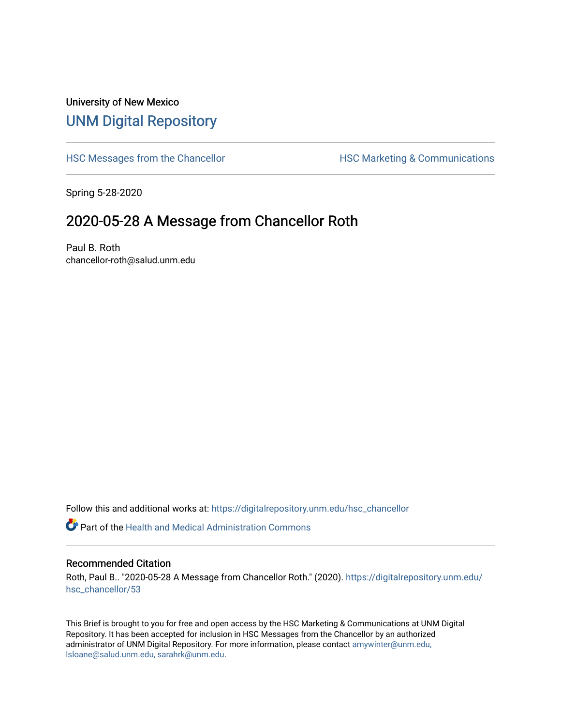## University of New Mexico [UNM Digital Repository](https://digitalrepository.unm.edu/)

[HSC Messages from the Chancellor](https://digitalrepository.unm.edu/hsc_chancellor) **HSC Marketing & Communications** 

Spring 5-28-2020

## 2020-05-28 A Message from Chancellor Roth

Paul B. Roth chancellor-roth@salud.unm.edu

Follow this and additional works at: [https://digitalrepository.unm.edu/hsc\\_chancellor](https://digitalrepository.unm.edu/hsc_chancellor?utm_source=digitalrepository.unm.edu%2Fhsc_chancellor%2F53&utm_medium=PDF&utm_campaign=PDFCoverPages) 

 $\bullet$  Part of the [Health and Medical Administration Commons](http://network.bepress.com/hgg/discipline/663?utm_source=digitalrepository.unm.edu%2Fhsc_chancellor%2F53&utm_medium=PDF&utm_campaign=PDFCoverPages)

## Recommended Citation

Roth, Paul B.. "2020-05-28 A Message from Chancellor Roth." (2020). [https://digitalrepository.unm.edu/](https://digitalrepository.unm.edu/hsc_chancellor/53?utm_source=digitalrepository.unm.edu%2Fhsc_chancellor%2F53&utm_medium=PDF&utm_campaign=PDFCoverPages) [hsc\\_chancellor/53](https://digitalrepository.unm.edu/hsc_chancellor/53?utm_source=digitalrepository.unm.edu%2Fhsc_chancellor%2F53&utm_medium=PDF&utm_campaign=PDFCoverPages) 

This Brief is brought to you for free and open access by the HSC Marketing & Communications at UNM Digital Repository. It has been accepted for inclusion in HSC Messages from the Chancellor by an authorized administrator of UNM Digital Repository. For more information, please contact [amywinter@unm.edu,](mailto:amywinter@unm.edu,%20lsloane@salud.unm.edu,%20sarahrk@unm.edu) [lsloane@salud.unm.edu, sarahrk@unm.edu.](mailto:amywinter@unm.edu,%20lsloane@salud.unm.edu,%20sarahrk@unm.edu)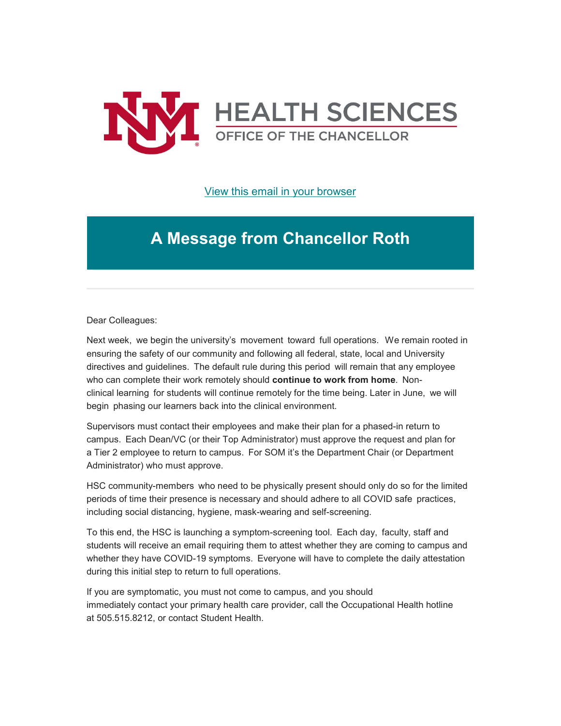

[View this email in your browser](https://mailchi.mp/afe136b3de92/message-from-the-chancellor-coronavirus-4425060?e=b4bbfca2c0)

## **A Message from Chancellor Roth**

Dear Colleagues:

Next week,  we begin the university's  movement  toward  full operations.   We remain rooted in ensuring the safety of our community and following all federal, state, local and University directives and guidelines.  The default rule during this period  will remain that any employee who can complete their work remotely should **continue to work from home**.  Nonclinical learning  for students will continue remotely for the time being. Later in June,  we will begin  phasing our learners back into the clinical environment. 

Supervisors must contact their employees and make their plan for a phased-in return to campus.  Each Dean/VC (or their Top Administrator) must approve the request and plan for a Tier 2 employee to return to campus.  For SOM it's the Department Chair (or Department Administrator) who must approve.

HSC community-members  who need to be physically present should only do so for the limited periods of time their presence is necessary and should adhere to all COVID safe  practices, including social distancing, hygiene, mask-wearing and self-screening. 

To this end, the HSC is launching a symptom-screening tool.  Each day,  faculty, staff and students will receive an email requiring them to attest whether they are coming to campus and whether they have COVID-19 symptoms.  Everyone will have to complete the daily attestation during this initial step to return to full operations. 

If you are symptomatic, you must not come to campus, and you should immediately contact your primary health care provider, call the Occupational Health hotline at 505.515.8212, or contact Student Health.